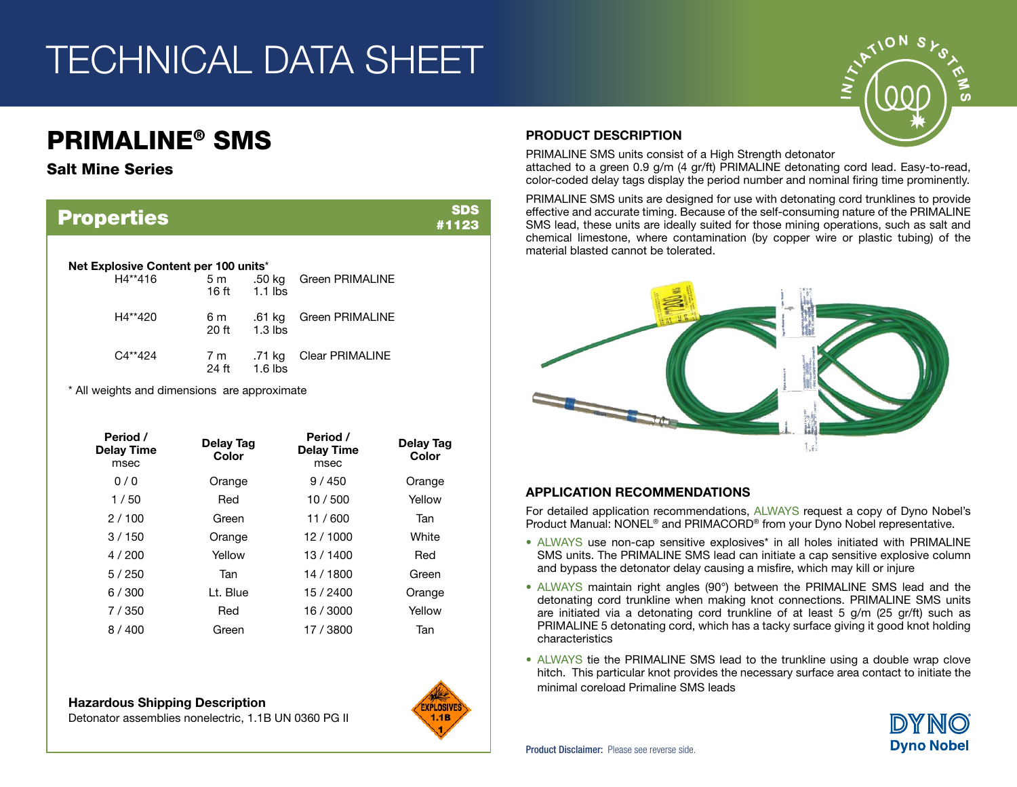## TECHNICAL DATA SHEET

### PRIMALINE® SMS

#### Salt Mine Series

| <b>Properties</b>                               |                |                     |                        | SDS<br>#1123 |
|-------------------------------------------------|----------------|---------------------|------------------------|--------------|
| Net Explosive Content per 100 units*<br>H4**416 | 5 <sub>m</sub> |                     | .50 kg Green PRIMALINE |              |
| H4**420                                         | 16 ft<br>6 m   | $1.1$ lbs<br>.61 kg | <b>Green PRIMALINE</b> |              |
| $C4**424$                                       | 20 ft<br>7 m   | $1.3$ lbs<br>.71 kg | <b>Clear PRIMALINE</b> |              |
| * All weights and dimensions are approximate    | 24 ft          | $1.6$ lbs           |                        |              |

| Period /<br>Delay Time<br>msec | Delay Tag<br>Color | Period /<br><b>Delay Time</b><br>msec | Delay Tag<br>Color |
|--------------------------------|--------------------|---------------------------------------|--------------------|
| 0/0                            | Orange             | 9/450                                 | Orange             |
| 1/50                           | Red                | 10/500                                | Yellow             |
| 2/100                          | Green              | 11/600                                | Tan                |
| 3/150                          | Orange             | 12/1000                               | White              |
| 4/200                          | Yellow             | 13 / 1400                             | Red                |
| 5/250                          | Tan                | 14 / 1800                             | Green              |
| 6/300                          | Lt. Blue           | 15 / 2400                             | Orange             |
| 7/350                          | Red                | 16 / 3000                             | Yellow             |
| 8/400                          | Green              | 17 / 3800                             | Tan                |

Detonator assemblies nonelectric, 1.1B UN 0360 PG II



#### PRODUCT DESCRIPTION

PRIMALINE SMS units consist of a High Strength detonator attached to a green 0.9 g/m (4 gr/ft) PRIMALINE detonating cord lead. Easy-to-read, color-coded delay tags display the period number and nominal firing time prominently.

PRIMALINE SMS units are designed for use with detonating cord trunklines to provide effective and accurate timing. Because of the self-consuming nature of the PRIMALINE SMS lead, these units are ideally suited for those mining operations, such as salt and chemical limestone, where contamination (by copper wire or plastic tubing) of the material blasted cannot be tolerated.



#### APPLICATION RECOMMENDATIONS

For detailed application recommendations, ALWAYS request a copy of Dyno Nobel's Product Manual: NONEL<sup>®</sup> and PRIMACORD<sup>®</sup> from your Dyno Nobel representative.

- ALWAYS use non-cap sensitive explosives\* in all holes initiated with PRIMALINE SMS units. The PRIMALINE SMS lead can initiate a cap sensitive explosive column and bypass the detonator delay causing a misfire, which may kill or injure
- ALWAYS maintain right angles (90°) between the PRIMALINE SMS lead and the detonating cord trunkline when making knot connections. PRIMALINE SMS units are initiated via a detonating cord trunkline of at least 5 g/m (25 gr/ft) such as PRIMALINE 5 detonating cord, which has a tacky surface giving it good knot holding characteristics
- ALWAYS tie the PRIMALINE SMS lead to the trunkline using a double wrap clove hitch. This particular knot provides the necessary surface area contact to initiate the minimal coreload Primaline SMS leads